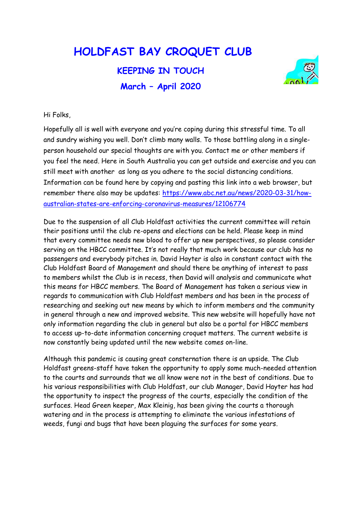## HOLDFAST BAY CROQUET CLUB

## KEEPING IN TOUCH March – April 2020



Hi Folks,

Hopefully all is well with everyone and you're coping during this stressful time. To all and sundry wishing you well. Don't climb many walls. To those battling along in a singleperson household our special thoughts are with you. Contact me or other members if you feel the need. Here in South Australia you can get outside and exercise and you can still meet with another as long as you adhere to the social distancing conditions. Information can be found here by copying and pasting this link into a web browser, but remember there also may be updates: https://www.abc.net.au/news/2020-03-31/howaustralian-states-are-enforcing-coronavirus-measures/12106774

Due to the suspension of all Club Holdfast activities the current committee will retain their positions until the club re-opens and elections can be held. Please keep in mind that every committee needs new blood to offer up new perspectives, so please consider serving on the HBCC committee. It's not really that much work because our club has no passengers and everybody pitches in. David Hayter is also in constant contact with the Club Holdfast Board of Management and should there be anything of interest to pass to members whilst the Club is in recess, then David will analysis and communicate what this means for HBCC members. The Board of Management has taken a serious view in regards to communication with Club Holdfast members and has been in the process of researching and seeking out new means by which to inform members and the community in general through a new and improved website. This new website will hopefully have not only information regarding the club in general but also be a portal for HBCC members to access up-to-date information concerning croquet matters. The current website is now constantly being updated until the new website comes on-line.

Although this pandemic is causing great consternation there is an upside. The Club Holdfast greens-staff have taken the opportunity to apply some much-needed attention to the courts and surrounds that we all know were not in the best of conditions. Due to his various responsibilities with Club Holdfast, our club Manager, David Hayter has had the opportunity to inspect the progress of the courts, especially the condition of the surfaces. Head Green keeper, Max Kleinig, has been giving the courts a thorough watering and in the process is attempting to eliminate the various infestations of weeds, fungi and bugs that have been plaguing the surfaces for some years.